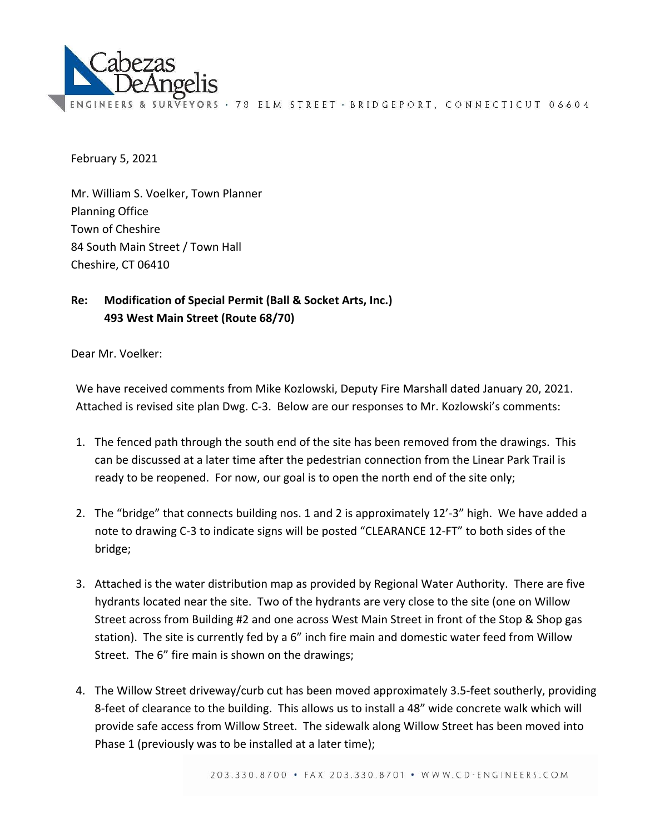

EYORS · 78 ELM STREET · BRIDGEPORT, CONNECTICUT 06604

February 5, 2021

Mr. William S. Voelker, Town Planner Planning Office Town of Cheshire 84 South Main Street / Town Hall Cheshire, CT 06410

## **Re: Modification of Special Permit (Ball & Socket Arts, Inc.) 493 West Main Street (Route 68/70)**

Dear Mr. Voelker:

We have received comments from Mike Kozlowski, Deputy Fire Marshall dated January 20, 2021. Attached is revised site plan Dwg. C‐3. Below are our responses to Mr. Kozlowski's comments:

- 1. The fenced path through the south end of the site has been removed from the drawings. This can be discussed at a later time after the pedestrian connection from the Linear Park Trail is ready to be reopened. For now, our goal is to open the north end of the site only;
- 2. The "bridge" that connects building nos. 1 and 2 is approximately 12'‐3" high. We have added a note to drawing C‐3 to indicate signs will be posted "CLEARANCE 12‐FT" to both sides of the bridge;
- 3. Attached is the water distribution map as provided by Regional Water Authority. There are five hydrants located near the site. Two of the hydrants are very close to the site (one on Willow Street across from Building #2 and one across West Main Street in front of the Stop & Shop gas station). The site is currently fed by a 6" inch fire main and domestic water feed from Willow Street. The 6" fire main is shown on the drawings;
- 4. The Willow Street driveway/curb cut has been moved approximately 3.5‐feet southerly, providing 8‐feet of clearance to the building. This allows us to install a 48" wide concrete walk which will provide safe access from Willow Street. The sidewalk along Willow Street has been moved into Phase 1 (previously was to be installed at a later time);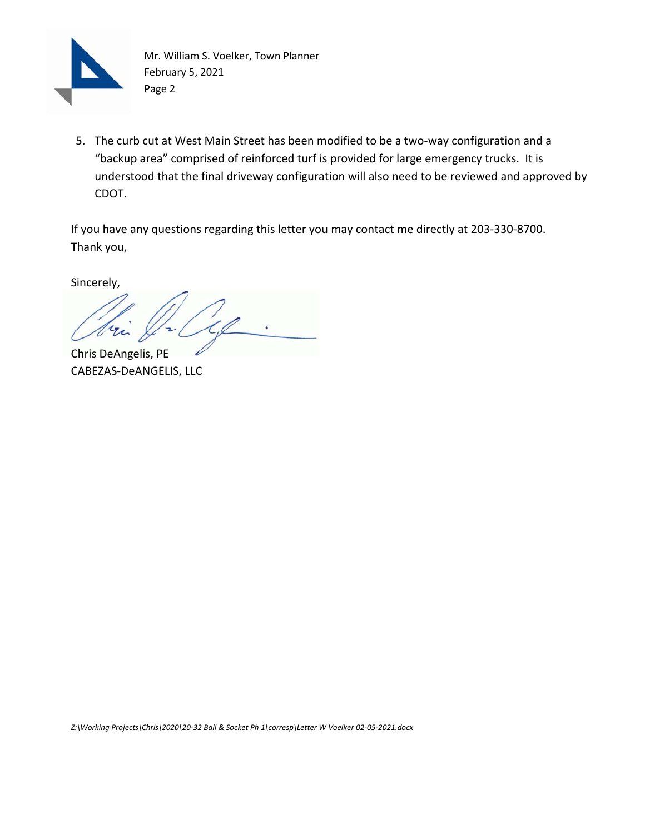

Mr. William S. Voelker, Town Planner February 5, 2021 Page 2

5. The curb cut at West Main Street has been modified to be a two-way configuration and a "backup area" comprised of reinforced turf is provided for large emergency trucks. It is understood that the final driveway configuration will also need to be reviewed and approved by CDOT.

If you have any questions regarding this letter you may contact me directly at 203‐330‐8700. Thank you,

Sincerely,

Chris DeAngelis, PE CABEZAS‐DeANGELIS, LLC

*Z:\Working Projects\Chris\2020\20‐32 Ball & Socket Ph 1\corresp\Letter W Voelker 02‐05‐2021.docx*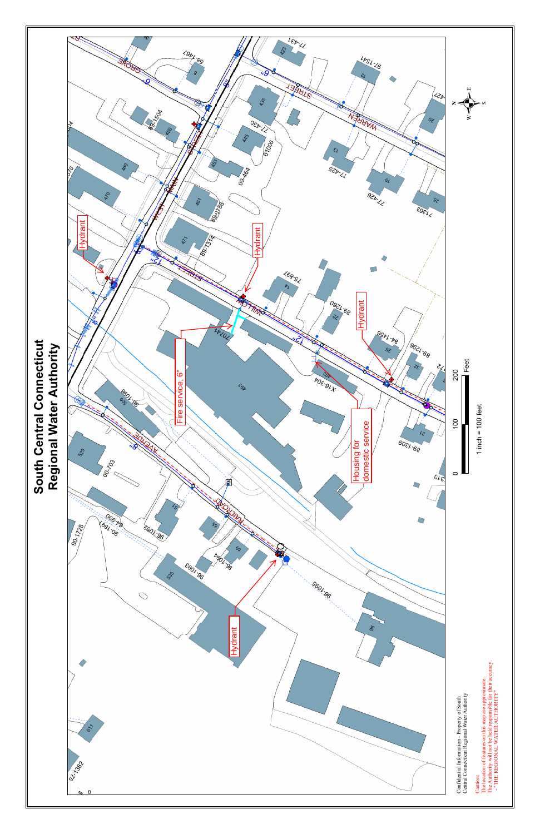